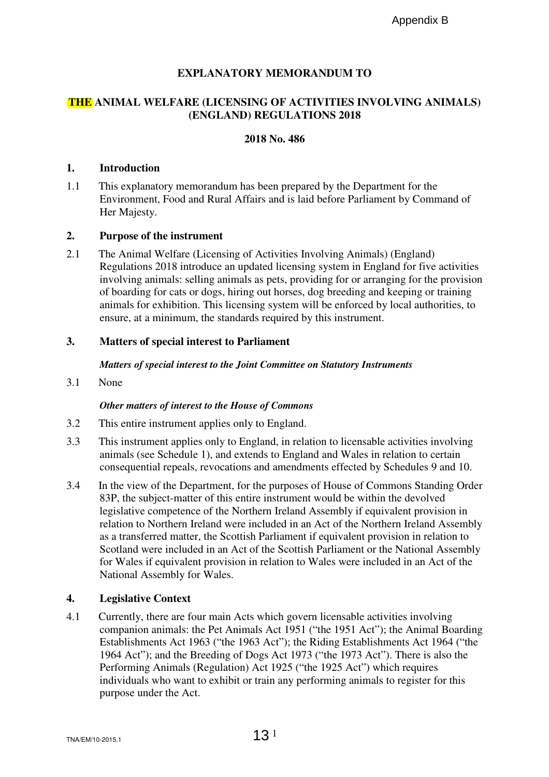# **EXPLANATORY MEMORANDUM TO**

# **THE ANIMAL WELFARE (LICENSING OF ACTIVITIES INVOLVING ANIMALS) (ENGLAND) REGULATIONS 2018**

## **2018 No. 486**

### **1. Introduction**

1.1 This explanatory memorandum has been prepared by the Department for the Environment, Food and Rural Affairs and is laid before Parliament by Command of Her Majesty.

### **2. Purpose of the instrument**

2.1 The Animal Welfare (Licensing of Activities Involving Animals) (England) Regulations 2018 introduce an updated licensing system in England for five activities involving animals: selling animals as pets, providing for or arranging for the provision of boarding for cats or dogs, hiring out horses, dog breeding and keeping or training animals for exhibition. This licensing system will be enforced by local authorities, to ensure, at a minimum, the standards required by this instrument.

## **3. Matters of special interest to Parliament**

### *Matters of special interest to the Joint Committee on Statutory Instruments*

3.1 None

### *Other matters of interest to the House of Commons*

- 3.2 This entire instrument applies only to England.
- 3.3 This instrument applies only to England, in relation to licensable activities involving animals (see Schedule 1), and extends to England and Wales in relation to certain consequential repeals, revocations and amendments effected by Schedules 9 and 10.
- 3.4 In the view of the Department, for the purposes of House of Commons Standing Order 83P, the subject-matter of this entire instrument would be within the devolved legislative competence of the Northern Ireland Assembly if equivalent provision in relation to Northern Ireland were included in an Act of the Northern Ireland Assembly as a transferred matter, the Scottish Parliament if equivalent provision in relation to Scotland were included in an Act of the Scottish Parliament or the National Assembly for Wales if equivalent provision in relation to Wales were included in an Act of the National Assembly for Wales. Appendix B<br>
NG OF ACTIVITES INVOLVING ANI<br>
REGULATIONS 2018<br>
REGULATIONS 2018<br>
118 No. 486<br>
118 No. 486<br>
118 No. 486<br>
118 No. 486<br>
218 No. 486<br>
218 No. 486<br>
22 Appendix Appendix Dimensions (Expland)<br>
Activities Involving A

### **4. Legislative Context**

4.1 Currently, there are four main Acts which govern licensable activities involving companion animals: the Pet Animals Act 1951 ("the 1951 Act"); the Animal Boarding Establishments Act 1963 ("the 1963 Act"); the Riding Establishments Act 1964 ("the 1964 Act"); and the Breeding of Dogs Act 1973 ("the 1973 Act"). There is also the Performing Animals (Regulation) Act 1925 ("the 1925 Act") which requires individuals who want to exhibit or train any performing animals to register for this purpose under the Act.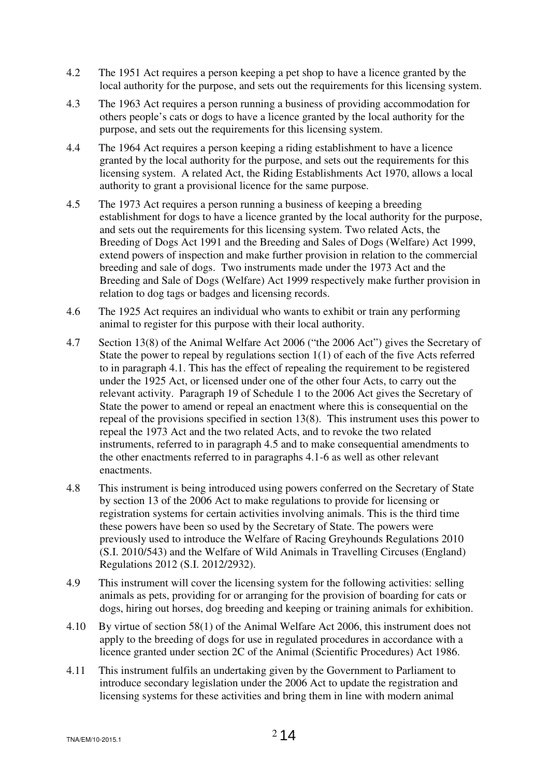- 4.2 The 1951 Act requires a person keeping a pet shop to have a licence granted by the local authority for the purpose, and sets out the requirements for this licensing system.
- 4.3 The 1963 Act requires a person running a business of providing accommodation for others people's cats or dogs to have a licence granted by the local authority for the purpose, and sets out the requirements for this licensing system.
- 4.4 The 1964 Act requires a person keeping a riding establishment to have a licence granted by the local authority for the purpose, and sets out the requirements for this licensing system. A related Act, the Riding Establishments Act 1970, allows a local authority to grant a provisional licence for the same purpose.
- 4.5 The 1973 Act requires a person running a business of keeping a breeding establishment for dogs to have a licence granted by the local authority for the purpose, and sets out the requirements for this licensing system. Two related Acts, the Breeding of Dogs Act 1991 and the Breeding and Sales of Dogs (Welfare) Act 1999, extend powers of inspection and make further provision in relation to the commercial breeding and sale of dogs. Two instruments made under the 1973 Act and the Breeding and Sale of Dogs (Welfare) Act 1999 respectively make further provision in relation to dog tags or badges and licensing records.
- 4.6 The 1925 Act requires an individual who wants to exhibit or train any performing animal to register for this purpose with their local authority.
- 4.7 Section 13(8) of the Animal Welfare Act 2006 ("the 2006 Act") gives the Secretary of State the power to repeal by regulations section 1(1) of each of the five Acts referred to in paragraph 4.1. This has the effect of repealing the requirement to be registered under the 1925 Act, or licensed under one of the other four Acts, to carry out the relevant activity. Paragraph 19 of Schedule 1 to the 2006 Act gives the Secretary of State the power to amend or repeal an enactment where this is consequential on the repeal of the provisions specified in section 13(8). This instrument uses this power to repeal the 1973 Act and the two related Acts, and to revoke the two related instruments, referred to in paragraph 4.5 and to make consequential amendments to the other enactments referred to in paragraphs 4.1-6 as well as other relevant enactments.
- 4.8 This instrument is being introduced using powers conferred on the Secretary of State by section 13 of the 2006 Act to make regulations to provide for licensing or registration systems for certain activities involving animals. This is the third time these powers have been so used by the Secretary of State. The powers were previously used to introduce the Welfare of Racing Greyhounds Regulations 2010 (S.I. 2010/543) and the Welfare of Wild Animals in Travelling Circuses (England) Regulations 2012 (S.I. 2012/2932).
- 4.9 This instrument will cover the licensing system for the following activities: selling animals as pets, providing for or arranging for the provision of boarding for cats or dogs, hiring out horses, dog breeding and keeping or training animals for exhibition.
- 4.10 By virtue of section 58(1) of the Animal Welfare Act 2006, this instrument does not apply to the breeding of dogs for use in regulated procedures in accordance with a licence granted under section 2C of the Animal (Scientific Procedures) Act 1986.
- 4.11 This instrument fulfils an undertaking given by the Government to Parliament to introduce secondary legislation under the 2006 Act to update the registration and licensing systems for these activities and bring them in line with modern animal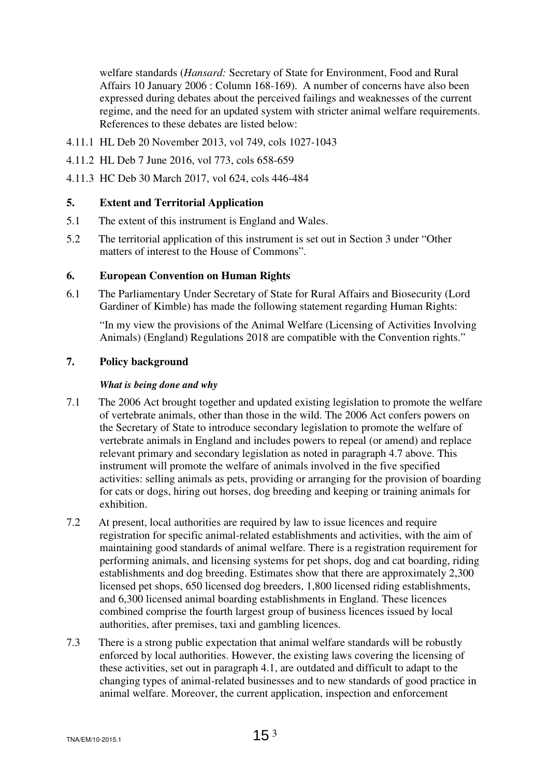welfare standards (*Hansard:* Secretary of State for Environment, Food and Rural Affairs 10 January 2006 : Column 168-169). A number of concerns have also been expressed during debates about the perceived failings and weaknesses of the current regime, and the need for an updated system with stricter animal welfare requirements. References to these debates are listed below:

- 4.11.1 HL Deb 20 November 2013, vol 749, cols 1027-1043
- 4.11.2 HL Deb 7 June 2016, vol 773, cols 658-659
- 4.11.3 HC Deb 30 March 2017, vol 624, cols 446-484

## **5. Extent and Territorial Application**

- 5.1 The extent of this instrument is England and Wales.
- 5.2 The territorial application of this instrument is set out in Section 3 under "Other matters of interest to the House of Commons".

## **6. European Convention on Human Rights**

6.1 The Parliamentary Under Secretary of State for Rural Affairs and Biosecurity (Lord Gardiner of Kimble) has made the following statement regarding Human Rights:

"In my view the provisions of the Animal Welfare (Licensing of Activities Involving Animals) (England) Regulations 2018 are compatible with the Convention rights."

# **7. Policy background**

### *What is being done and why*

- 7.1 The 2006 Act brought together and updated existing legislation to promote the welfare of vertebrate animals, other than those in the wild. The 2006 Act confers powers on the Secretary of State to introduce secondary legislation to promote the welfare of vertebrate animals in England and includes powers to repeal (or amend) and replace relevant primary and secondary legislation as noted in paragraph 4.7 above. This instrument will promote the welfare of animals involved in the five specified activities: selling animals as pets, providing or arranging for the provision of boarding for cats or dogs, hiring out horses, dog breeding and keeping or training animals for exhibition.
- 7.2 At present, local authorities are required by law to issue licences and require registration for specific animal-related establishments and activities, with the aim of maintaining good standards of animal welfare. There is a registration requirement for performing animals, and licensing systems for pet shops, dog and cat boarding, riding establishments and dog breeding. Estimates show that there are approximately 2,300 licensed pet shops, 650 licensed dog breeders, 1,800 licensed riding establishments, and 6,300 licensed animal boarding establishments in England. These licences combined comprise the fourth largest group of business licences issued by local authorities, after premises, taxi and gambling licences.
- 7.3 There is a strong public expectation that animal welfare standards will be robustly enforced by local authorities. However, the existing laws covering the licensing of these activities, set out in paragraph 4.1, are outdated and difficult to adapt to the changing types of animal-related businesses and to new standards of good practice in animal welfare. Moreover, the current application, inspection and enforcement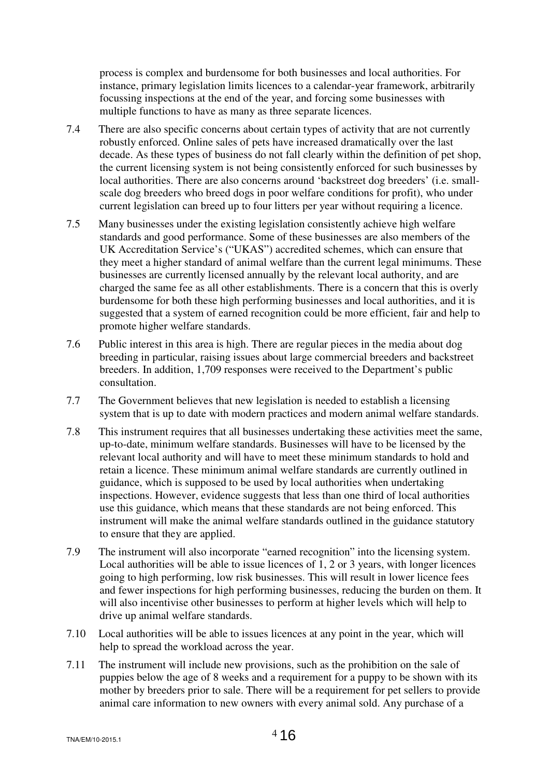process is complex and burdensome for both businesses and local authorities. For instance, primary legislation limits licences to a calendar-year framework, arbitrarily focussing inspections at the end of the year, and forcing some businesses with multiple functions to have as many as three separate licences.

- 7.4 There are also specific concerns about certain types of activity that are not currently robustly enforced. Online sales of pets have increased dramatically over the last decade. As these types of business do not fall clearly within the definition of pet shop, the current licensing system is not being consistently enforced for such businesses by local authorities. There are also concerns around 'backstreet dog breeders' (i.e. smallscale dog breeders who breed dogs in poor welfare conditions for profit), who under current legislation can breed up to four litters per year without requiring a licence.
- 7.5 Many businesses under the existing legislation consistently achieve high welfare standards and good performance. Some of these businesses are also members of the UK Accreditation Service's ("UKAS") accredited schemes, which can ensure that they meet a higher standard of animal welfare than the current legal minimums. These businesses are currently licensed annually by the relevant local authority, and are charged the same fee as all other establishments. There is a concern that this is overly burdensome for both these high performing businesses and local authorities, and it is suggested that a system of earned recognition could be more efficient, fair and help to promote higher welfare standards.
- 7.6 Public interest in this area is high. There are regular pieces in the media about dog breeding in particular, raising issues about large commercial breeders and backstreet breeders. In addition, 1,709 responses were received to the Department's public consultation.
- 7.7 The Government believes that new legislation is needed to establish a licensing system that is up to date with modern practices and modern animal welfare standards.
- 7.8 This instrument requires that all businesses undertaking these activities meet the same, up-to-date, minimum welfare standards. Businesses will have to be licensed by the relevant local authority and will have to meet these minimum standards to hold and retain a licence. These minimum animal welfare standards are currently outlined in guidance, which is supposed to be used by local authorities when undertaking inspections. However, evidence suggests that less than one third of local authorities use this guidance, which means that these standards are not being enforced. This instrument will make the animal welfare standards outlined in the guidance statutory to ensure that they are applied.
- 7.9 The instrument will also incorporate "earned recognition" into the licensing system. Local authorities will be able to issue licences of 1, 2 or 3 years, with longer licences going to high performing, low risk businesses. This will result in lower licence fees and fewer inspections for high performing businesses, reducing the burden on them. It will also incentivise other businesses to perform at higher levels which will help to drive up animal welfare standards.
- 7.10 Local authorities will be able to issues licences at any point in the year, which will help to spread the workload across the year.
- 7.11 The instrument will include new provisions, such as the prohibition on the sale of puppies below the age of 8 weeks and a requirement for a puppy to be shown with its mother by breeders prior to sale. There will be a requirement for pet sellers to provide animal care information to new owners with every animal sold. Any purchase of a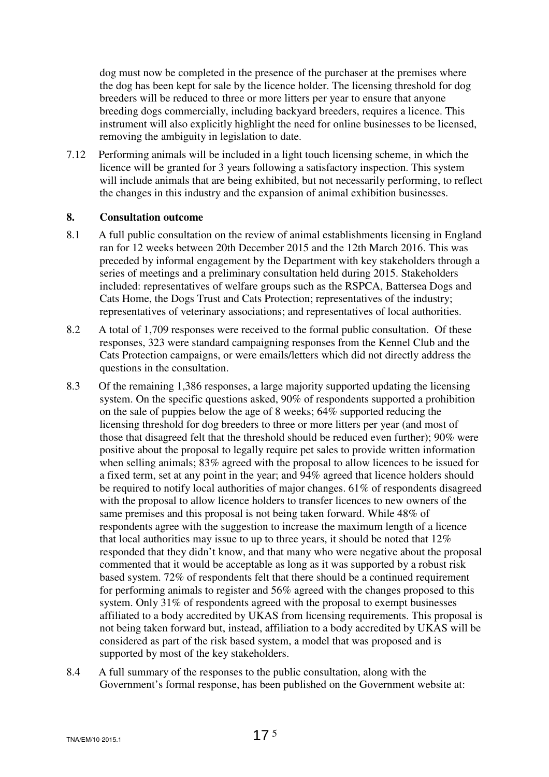dog must now be completed in the presence of the purchaser at the premises where the dog has been kept for sale by the licence holder. The licensing threshold for dog breeders will be reduced to three or more litters per year to ensure that anyone breeding dogs commercially, including backyard breeders, requires a licence. This instrument will also explicitly highlight the need for online businesses to be licensed, removing the ambiguity in legislation to date.

7.12 Performing animals will be included in a light touch licensing scheme, in which the licence will be granted for 3 years following a satisfactory inspection. This system will include animals that are being exhibited, but not necessarily performing, to reflect the changes in this industry and the expansion of animal exhibition businesses.

### **8. Consultation outcome**

- 8.1 A full public consultation on the review of animal establishments licensing in England ran for 12 weeks between 20th December 2015 and the 12th March 2016. This was preceded by informal engagement by the Department with key stakeholders through a series of meetings and a preliminary consultation held during 2015. Stakeholders included: representatives of welfare groups such as the RSPCA, Battersea Dogs and Cats Home, the Dogs Trust and Cats Protection; representatives of the industry; representatives of veterinary associations; and representatives of local authorities.
- 8.2 A total of 1,709 responses were received to the formal public consultation. Of these responses, 323 were standard campaigning responses from the Kennel Club and the Cats Protection campaigns, or were emails/letters which did not directly address the questions in the consultation.
- 8.3 Of the remaining 1,386 responses, a large majority supported updating the licensing system. On the specific questions asked, 90% of respondents supported a prohibition on the sale of puppies below the age of 8 weeks; 64% supported reducing the licensing threshold for dog breeders to three or more litters per year (and most of those that disagreed felt that the threshold should be reduced even further); 90% were positive about the proposal to legally require pet sales to provide written information when selling animals; 83% agreed with the proposal to allow licences to be issued for a fixed term, set at any point in the year; and 94% agreed that licence holders should be required to notify local authorities of major changes. 61% of respondents disagreed with the proposal to allow licence holders to transfer licences to new owners of the same premises and this proposal is not being taken forward. While 48% of respondents agree with the suggestion to increase the maximum length of a licence that local authorities may issue to up to three years, it should be noted that 12% responded that they didn't know, and that many who were negative about the proposal commented that it would be acceptable as long as it was supported by a robust risk based system. 72% of respondents felt that there should be a continued requirement for performing animals to register and 56% agreed with the changes proposed to this system. Only 31% of respondents agreed with the proposal to exempt businesses affiliated to a body accredited by UKAS from licensing requirements. This proposal is not being taken forward but, instead, affiliation to a body accredited by UKAS will be considered as part of the risk based system, a model that was proposed and is supported by most of the key stakeholders.
- 8.4 A full summary of the responses to the public consultation, along with the Government's formal response, has been published on the Government website at: